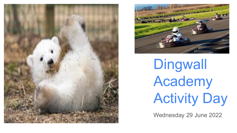



**Dingwall** Academy Activity Day

Wednesday 29 June 2022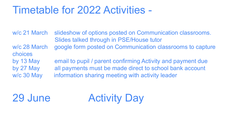# Timetable for 2022 Activities -

w/c 21 March slideshow of options posted on Communication classrooms. Slides talked through in PSE/House tutor w/c 28 March google form posted on Communication classrooms to capture choices by 13 May email to pupil / parent confirming Activity and payment due by 27 May all payments must be made direct to school bank account w/c 30 May information sharing meeting with activity leader

29 June Activity Day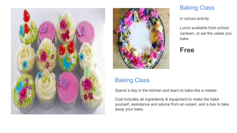



#### Baking Class

#### Baking Class

In school activity

Lunch available from school canteen, or eat the cakes you bake

#### **Free**

Spend a day in the kitchen and learn to bake like a master.

Cost includes all ingredients & equipment to make the bake yourself, assistance and advice from an expert, and a box to take away your bake.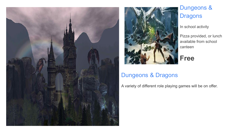



## Dungeons & **Dragons**

In school activity

Pizza provided, or lunch available from school canteen

**Free**

## Dungeons & Dragons

A variety of different role playing games will be on offer.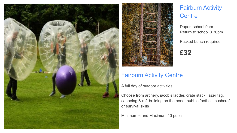



#### Fairburn Activity Centre

A full day of outdoor activities.

Choose from archery, jacob's ladder, crate stack, lazer tag, canoeing & raft building on the pond, bubble football, bushcraft or survival skills

Minimum 6 and Maximum 10 pupils

## Fairburn Activity **Centre**

Depart school 9am Return to school 3.30pm

Packed Lunch required

**£32**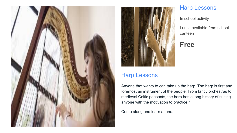



#### Harp Lessons

Anyone that wants to can take up the harp. The harp is first and foremost an instrument of the people. From fancy orchestras to medieval Celtic peasants, the harp has a long history of suiting anyone with the motivation to practice it.

Come along and learn a tune.

#### Harp Lessons

In school activity

Lunch available from school canteen

## **Free**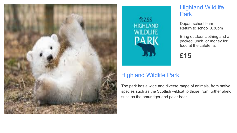



## Highland Wildlife **Park**

Depart school 9am Return to school 3.30pm

Bring outdoor clothing and a packed lunch, or money for food at the cafeteria.

**£15**

## Highland Wildlife Park

The park has a wide and diverse range of animals, from native species such as the Scottish wildcat to those from further afield such as the amur tiger and polar bear.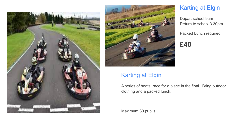



## Karting at Elgin

A series of heats, race for a place in the final. Bring outdoor clothing and a packed lunch.

Maximum 30 pupils

## Karting at Elgin

Depart school 9am Return to school 3.30pm

Packed Lunch required

## **£40**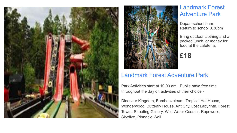



#### Landmark Forest Adventure Park

Depart school 9am Return to school 3.30pm

Bring outdoor clothing and a packed lunch, or money for food at the cafeteria.

**£18**

#### Landmark Forest Adventure Park

Park Activities start at 10.00 am. Pupils have free time throughout the day on activities of their choice -

Dinosaur Kingdom, Bamboozeleum, Tropical Hot House, Wonderwood, Butterfly House, Ant City, Lost Labyrinth, Forest Tower, Shooting Gallery, Wild Water Coaster, Ropeworx, Skydive, Pinnacle Wall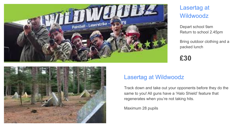

## Lasertag at Wildwoodz

Depart school 9am Return to school 2.45pm

Bring outdoor clothing and a packed lunch

## **£30**



#### Lasertag at Wildwoodz

Track down and take out your opponents before they do the same to you! All guns have a 'Halo Shield' feature that regenerates when you're not taking hits.

Maximum 28 pupils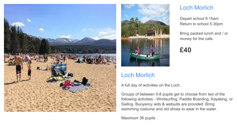



## Loch Morlich

A full day of activities on the Loch.

Groups of between 5-8 pupils get to choose from two of the following activities - Windsurfing, Paddle Boarding, Kayaking, or Sailing. Buoyancy aids & wetsuits are provided. Bring swimming costume and old shoes to wear in the water.

Maximum 36 pupils

## Loch Morlich

Depart school 8.15am Return to school 5.30pm

Bring packed lunch and / or money for the cafe.

**£40**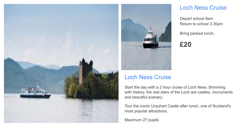



## Loch Ness Cruise

Depart school 9am Return to school 3.30pm

Bring packed lunch.

## **£20**

## Loch Ness Cruise

Start the day with a 2 hour cruise of Loch Ness. Brimming with history, the real stars of the Loch are castles, monuments and beautiful scenery.

Tour the iconic Urquhart Castle after lunch, one of Scotland's most popular attractions.

Maximum 27 pupils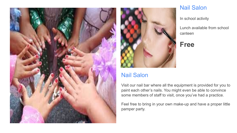



## Nail Salon

Visit our nail bar where all the equipment is provided for you to paint each other's nails. You might even be able to convince some members of staff to visit, once you've had a practice.

Feel free to bring in your own make-up and have a proper little pamper party.

#### Nail Salon

In school activity

Lunch available from school canteen

#### **Free**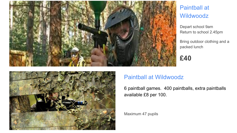

## Paintball at Wildwoodz

Depart school 9am Return to school 2.45pm

Bring outdoor clothing and a packed lunch

## **£40**



#### Paintball at Wildwoodz

6 paintball games. 400 paintballs, extra paintballs available £8 per 100.

Maximum 47 pupils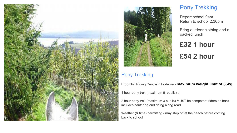



#### Pony Trekking

#### Pony Trekking

Depart school 9am Return to school 2.30pm

Bring outdoor clothing and a packed lunch

# **£32 1 hour £54 2 hour**

Broomhill Riding Centre in Fortrose - **maximum weight limit of 86kg**

1 hour pony trek (maximum 6 pupils) or

2 hour pony trek (maximum 3 pupils) MUST be competent riders as hack includes cantering and riding along road

Weather (& time) permitting - may stop off at the beach before coming back to school